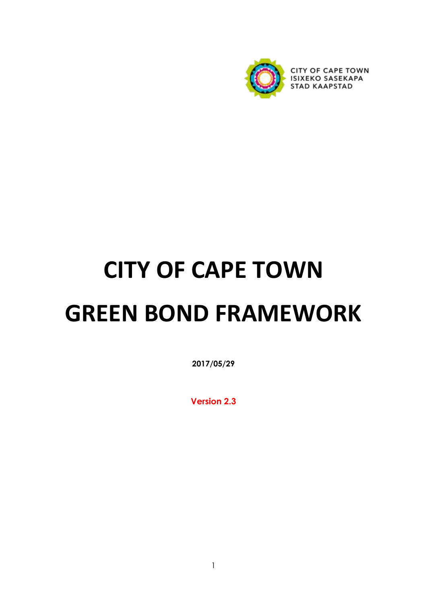

# **CITY OF CAPE TOWN GREEN BOND FRAMEWORK**

**2017/05/29** 

**Version 2.3**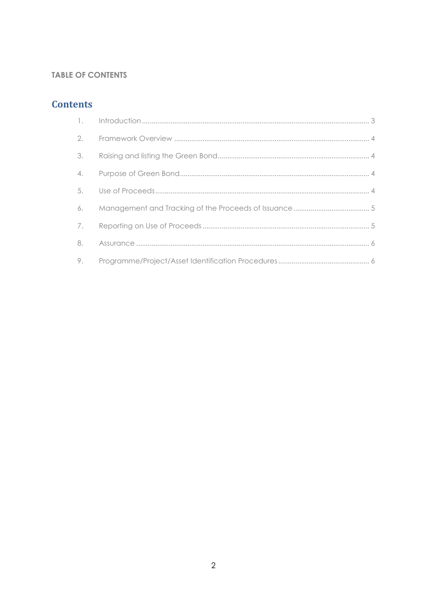# **TABLE OF CONTENTS**

# **Contents**

| 2. |  |
|----|--|
| 3. |  |
| 4. |  |
| 5. |  |
| 6. |  |
| 7. |  |
| 8. |  |
| 9. |  |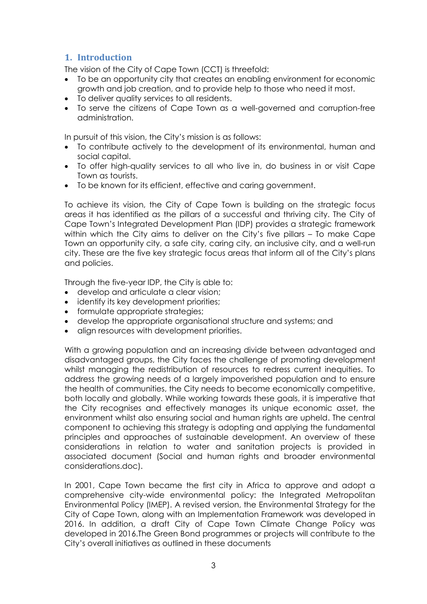# <span id="page-2-0"></span>**1. Introduction**

The vision of the City of Cape Town (CCT) is threefold:

- To be an opportunity city that creates an enabling environment for economic growth and job creation, and to provide help to those who need it most.
- To deliver quality services to all residents.
- To serve the citizens of Cape Town as a well-governed and corruption-free administration.

In pursuit of this vision, the City's mission is as follows:

- To contribute actively to the development of its environmental, human and social capital.
- To offer high-quality services to all who live in, do business in or visit Cape Town as tourists.
- To be known for its efficient, effective and caring government.

To achieve its vision, the City of Cape Town is building on the strategic focus areas it has identified as the pillars of a successful and thriving city. The City of Cape Town's Integrated Development Plan (IDP) provides a strategic framework within which the City aims to deliver on the City's five pillars – To make Cape Town an opportunity city, a safe city, caring city, an inclusive city, and a well-run city. These are the five key strategic focus areas that inform all of the City's plans and policies.

Through the five-year IDP, the City is able to:

- develop and articulate a clear vision;
- identify its key development priorities;
- formulate appropriate strategies;
- develop the appropriate organisational structure and systems; and
- align resources with development priorities.

With a growing population and an increasing divide between advantaged and disadvantaged groups, the City faces the challenge of promoting development whilst managing the redistribution of resources to redress current inequities. To address the growing needs of a largely impoverished population and to ensure the health of communities, the City needs to become economically competitive, both locally and globally. While working towards these goals, it is imperative that the City recognises and effectively manages its unique economic asset, the environment whilst also ensuring social and human rights are upheld. The central component to achieving this strategy is adopting and applying the fundamental principles and approaches of sustainable development. An overview of these considerations in relation to water and sanitation projects is provided in associated document (Social and human rights and broader environmental considerations.doc).

In 2001, Cape Town became the first city in Africa to approve and adopt a comprehensive city-wide environmental policy: the Integrated Metropolitan Environmental Policy (IMEP). A revised version, the Environmental Strategy for the City of Cape Town, along with an Implementation Framework was developed in 2016. In addition, a draft City of Cape Town Climate Change Policy was developed in 2016.The Green Bond programmes or projects will contribute to the City's overall initiatives as outlined in these documents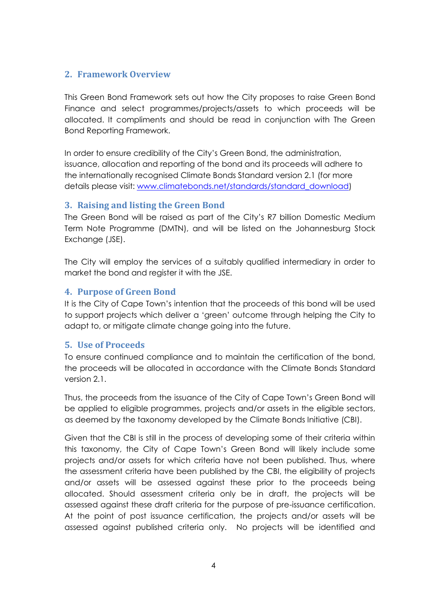## <span id="page-3-0"></span>**2. Framework Overview**

This Green Bond Framework sets out how the City proposes to raise Green Bond Finance and select programmes/projects/assets to which proceeds will be allocated. It compliments and should be read in conjunction with The Green Bond Reporting Framework.

In order to ensure credibility of the City's Green Bond, the administration, issuance, allocation and reporting of the bond and its proceeds will adhere to the internationally recognised Climate Bonds Standard version 2.1 (for more details please visit: [www.climatebonds.net/standards/standard\\_download\)](https://www.climatebonds.net/standards/standard_download)

## <span id="page-3-1"></span>**3. Raising and listing the Green Bond**

The Green Bond will be raised as part of the City's R7 billion Domestic Medium Term Note Programme (DMTN), and will be listed on the Johannesburg Stock Exchange (JSE).

The City will employ the services of a suitably qualified intermediary in order to market the bond and register it with the JSE.

# <span id="page-3-2"></span>**4. Purpose of Green Bond**

It is the City of Cape Town's intention that the proceeds of this bond will be used to support projects which deliver a 'green' outcome through helping the City to adapt to, or mitigate climate change going into the future.

## <span id="page-3-3"></span>**5. Use of Proceeds**

To ensure continued compliance and to maintain the certification of the bond, the proceeds will be allocated in accordance with the Climate Bonds Standard version 2.1.

Thus, the proceeds from the issuance of the City of Cape Town's Green Bond will be applied to eligible programmes, projects and/or assets in the eligible sectors, as deemed by the taxonomy developed by the Climate Bonds Initiative (CBI).

Given that the CBI is still in the process of developing some of their criteria within this taxonomy, the City of Cape Town's Green Bond will likely include some projects and/or assets for which criteria have not been published. Thus, where the assessment criteria have been published by the CBI, the eligibility of projects and/or assets will be assessed against these prior to the proceeds being allocated. Should assessment criteria only be in draft, the projects will be assessed against these draft criteria for the purpose of pre-issuance certification. At the point of post issuance certification, the projects and/or assets will be assessed against published criteria only. No projects will be identified and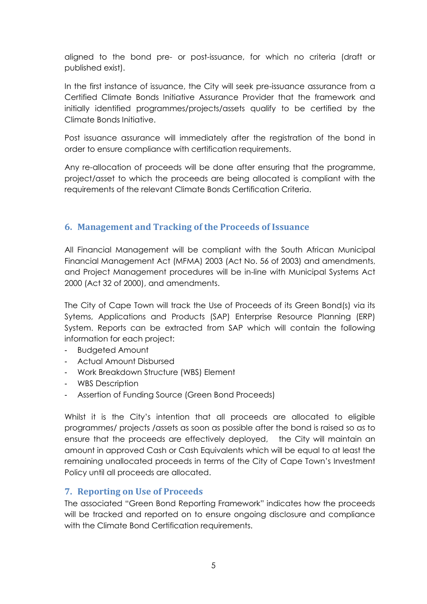aligned to the bond pre- or post-issuance, for which no criteria (draft or published exist).

In the first instance of issuance, the City will seek pre-issuance assurance from a Certified Climate Bonds Initiative Assurance Provider that the framework and initially identified programmes/projects/assets qualify to be certified by the Climate Bonds Initiative.

Post issuance assurance will immediately after the registration of the bond in order to ensure compliance with certification requirements.

Any re-allocation of proceeds will be done after ensuring that the programme, project/asset to which the proceeds are being allocated is compliant with the requirements of the relevant Climate Bonds Certification Criteria.

# <span id="page-4-0"></span>**6. Management and Tracking of the Proceeds of Issuance**

All Financial Management will be compliant with the South African Municipal Financial Management Act (MFMA) 2003 (Act No. 56 of 2003) and amendments, and Project Management procedures will be in-line with Municipal Systems Act 2000 (Act 32 of 2000), and amendments.

The City of Cape Town will track the Use of Proceeds of its Green Bond(s) via its Sytems, Applications and Products (SAP) Enterprise Resource Planning (ERP) System. Reports can be extracted from SAP which will contain the following information for each project:

- Budgeted Amount
- Actual Amount Disbursed
- Work Breakdown Structure (WBS) Element
- WBS Description
- Assertion of Funding Source (Green Bond Proceeds)

Whilst it is the City's intention that all proceeds are allocated to eligible programmes/ projects /assets as soon as possible after the bond is raised so as to ensure that the proceeds are effectively deployed, the City will maintain an amount in approved Cash or Cash Equivalents which will be equal to at least the remaining unallocated proceeds in terms of the City of Cape Town's Investment Policy until all proceeds are allocated.

## <span id="page-4-1"></span>**7. Reporting on Use of Proceeds**

The associated "Green Bond Reporting Framework" indicates how the proceeds will be tracked and reported on to ensure ongoing disclosure and compliance with the Climate Bond Certification requirements.